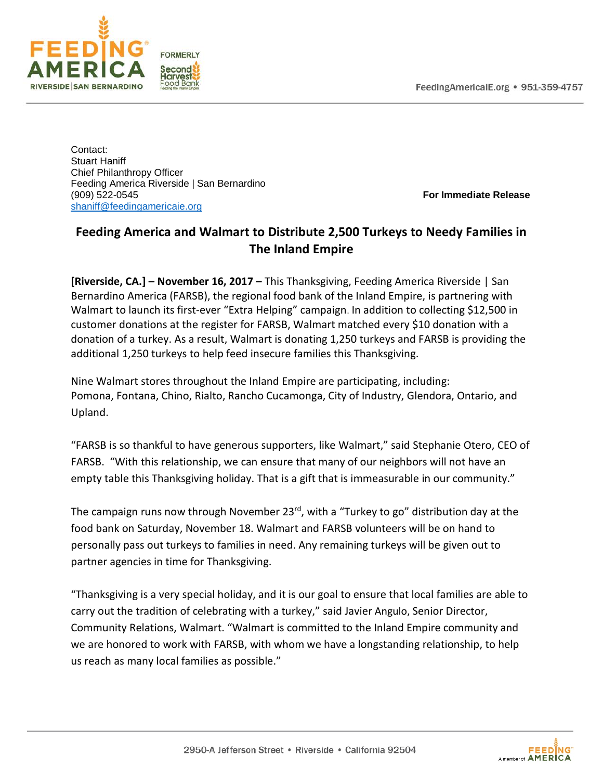

Contact: Stuart Haniff Chief Philanthropy Officer Feeding America Riverside | San Bernardino<br>(909) 522-0545 [shaniff@feedingamericaie.org](mailto:shaniff@feedingamericaie.org) 

(909) 522-0545 **For Immediate Release**

## **Feeding America and Walmart to Distribute 2,500 Turkeys to Needy Families in The Inland Empire**

**[Riverside, CA.] – November 16, 2017 –** This Thanksgiving, Feeding America Riverside | San Bernardino America (FARSB), the regional food bank of the Inland Empire, is partnering with Walmart to launch its first-ever "Extra Helping" campaign. In addition to collecting \$12,500 in customer donations at the register for FARSB, Walmart matched every \$10 donation with a donation of a turkey. As a result, Walmart is donating 1,250 turkeys and FARSB is providing the additional 1,250 turkeys to help feed insecure families this Thanksgiving.

Nine Walmart stores throughout the Inland Empire are participating, including: Pomona, Fontana, Chino, Rialto, Rancho Cucamonga, City of Industry, Glendora, Ontario, and Upland.

"FARSB is so thankful to have generous supporters, like Walmart," said Stephanie Otero, CEO of FARSB. "With this relationship, we can ensure that many of our neighbors will not have an empty table this Thanksgiving holiday. That is a gift that is immeasurable in our community."

The campaign runs now through November 23 $^{rd}$ , with a "Turkey to go" distribution day at the food bank on Saturday, November 18. Walmart and FARSB volunteers will be on hand to personally pass out turkeys to families in need. Any remaining turkeys will be given out to partner agencies in time for Thanksgiving.

"Thanksgiving is a very special holiday, and it is our goal to ensure that local families are able to carry out the tradition of celebrating with a turkey," said Javier Angulo, Senior Director, Community Relations, Walmart. "Walmart is committed to the Inland Empire community and we are honored to work with FARSB, with whom we have a longstanding relationship, to help us reach as many local families as possible."